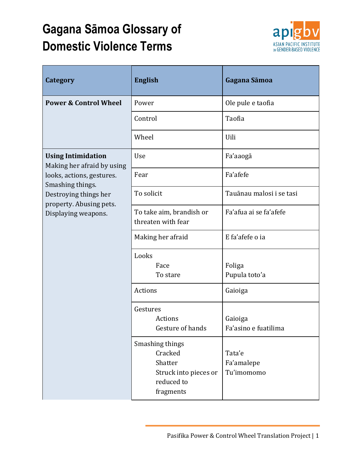## **Gagana Sāmoa Glossary of Domestic Violence Terms**



| Category                                                                                                                                                                            | <b>English</b>                                                                            | Gagana Sāmoa                       |
|-------------------------------------------------------------------------------------------------------------------------------------------------------------------------------------|-------------------------------------------------------------------------------------------|------------------------------------|
| <b>Power &amp; Control Wheel</b>                                                                                                                                                    | Power                                                                                     | Ole pule e taofia                  |
|                                                                                                                                                                                     | Control                                                                                   | Taofia                             |
|                                                                                                                                                                                     | Wheel                                                                                     | Uili                               |
| <b>Using Intimidation</b><br>Making her afraid by using<br>looks, actions, gestures.<br>Smashing things.<br>Destroying things her<br>property. Abusing pets.<br>Displaying weapons. | Use                                                                                       | Fa'aaogā                           |
|                                                                                                                                                                                     | Fear                                                                                      | Fa'afefe                           |
|                                                                                                                                                                                     | To solicit                                                                                | Tauānau malosi i se tasi           |
|                                                                                                                                                                                     | To take aim, brandish or<br>threaten with fear                                            | Fa'afua ai se fa'afefe             |
|                                                                                                                                                                                     | Making her afraid                                                                         | E fa'afefe o ia                    |
|                                                                                                                                                                                     | Looks<br>Face<br>To stare                                                                 | Foliga<br>Pupula toto'a            |
|                                                                                                                                                                                     | Actions                                                                                   | Gaioiga                            |
|                                                                                                                                                                                     | Gestures<br>Actions<br>Gesture of hands                                                   | Gaioiga<br>Fa'asino e fuatilima    |
|                                                                                                                                                                                     | Smashing things<br>Cracked<br>Shatter<br>Struck into pieces or<br>reduced to<br>fragments | Tata'e<br>Fa'amalepe<br>Tu'imomomo |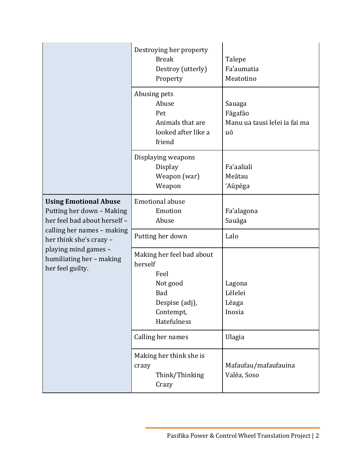|                                                                                                                                                                                                                            | Destroying her property<br><b>Break</b><br>Destroy (utterly)<br>Property          | Talepe<br>Fa'aumatia<br>Meatotino                        |
|----------------------------------------------------------------------------------------------------------------------------------------------------------------------------------------------------------------------------|-----------------------------------------------------------------------------------|----------------------------------------------------------|
|                                                                                                                                                                                                                            | Abusing pets<br>Abuse<br>Pet<br>Animals that are<br>looked after like a<br>friend | Sauaga<br>Fāgafāo<br>Manu ua tausi lelei ia fai ma<br>uō |
|                                                                                                                                                                                                                            | Displaying weapons<br><b>Display</b><br>Weapon (war)<br>Weapon                    | Fa'aaliali<br>Meātau<br>'Aūpēga                          |
| <b>Using Emotional Abuse</b><br>Putting her down - Making<br>her feel bad about herself -<br>calling her names - making<br>her think she's crazy -<br>playing mind games -<br>humiliating her - making<br>her feel guilty. | <b>Emotional abuse</b><br>Emotion<br>Abuse                                        | Fa'alagona<br>Sauāga                                     |
|                                                                                                                                                                                                                            | Putting her down                                                                  | Lalo                                                     |
|                                                                                                                                                                                                                            | Making her feel bad about<br>herself<br>Feel<br>Not good                          | Lagona                                                   |
|                                                                                                                                                                                                                            | Bad<br>Despise (adj),<br>Contempt,<br>Hatefulness                                 | Lēlelei<br>Lēaga<br>Inosia                               |
|                                                                                                                                                                                                                            | Calling her names                                                                 | Ulagia                                                   |
|                                                                                                                                                                                                                            | Making her think she is<br>crazy<br>Think/Thinking<br>Crazy                       | Mafaufau/mafaufauina<br>Valēa, Soso                      |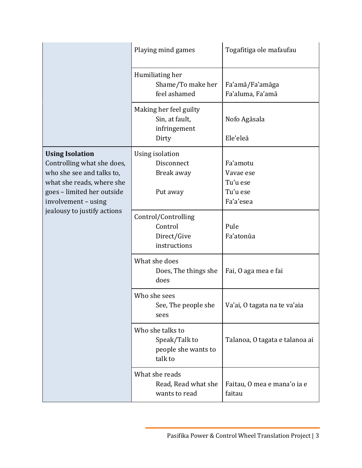|                                                                                                                                                                                                    | Playing mind games                                                  | Togafitiga ole mafaufau                                    |
|----------------------------------------------------------------------------------------------------------------------------------------------------------------------------------------------------|---------------------------------------------------------------------|------------------------------------------------------------|
|                                                                                                                                                                                                    | Humiliating her<br>Shame/To make her<br>feel ashamed                | Fa'amā/Fa'amāga<br>Fa'aluma, Fa'amā                        |
|                                                                                                                                                                                                    | Making her feel guilty<br>Sin, at fault,<br>infringement<br>Dirty   | Nofo Agāsala<br>Ele'eleā                                   |
| <b>Using Isolation</b><br>Controlling what she does,<br>who she see and talks to,<br>what she reads, where she<br>goes - limited her outside<br>involvement - using<br>jealousy to justify actions | Using isolation<br>Disconnect<br>Break away<br>Put away             | Fa'amotu<br>Vavae ese<br>Tu'u ese<br>Tu'u ese<br>Fa'a'esea |
|                                                                                                                                                                                                    | Control/Controlling<br>Control<br>Direct/Give<br>instructions       | Pule<br>Fa'atonūa                                          |
|                                                                                                                                                                                                    | What she does<br>Does, The things she<br>does                       | Fai, O aga mea e fai                                       |
|                                                                                                                                                                                                    | Who she sees<br>See, The people she<br>sees                         | Va'ai, O tagata na te va'aia                               |
|                                                                                                                                                                                                    | Who she talks to<br>Speak/Talk to<br>people she wants to<br>talk to | Talanoa, O tagata e talanoa ai                             |
|                                                                                                                                                                                                    | What she reads<br>Read, Read what she<br>wants to read              | Faitau, O mea e mana'o ia e<br>faitau                      |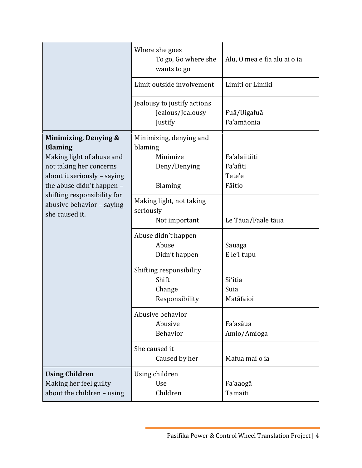|                                                                                                                                                                                                                                           | Where she goes<br>To go, Go where she<br>wants to go                      | Alu, O mea e fia alu ai o ia                  |
|-------------------------------------------------------------------------------------------------------------------------------------------------------------------------------------------------------------------------------------------|---------------------------------------------------------------------------|-----------------------------------------------|
|                                                                                                                                                                                                                                           | Limit outside involvement                                                 | Limiti or Limiki                              |
|                                                                                                                                                                                                                                           | Jealousy to justify actions<br>Jealous/Jealousy<br>Justify                | Fuā/Uigafuā<br>Fa'amāonia                     |
| Minimizing, Denying &<br><b>Blaming</b><br>Making light of abuse and<br>not taking her concerns<br>about it seriously - saying<br>the abuse didn't happen -<br>shifting responsibility for<br>abusive behavior - saying<br>she caused it. | Minimizing, denying and<br>blaming<br>Minimize<br>Deny/Denying<br>Blaming | Fa'alaiitiiti<br>Fa'afiti<br>Tete'e<br>Fāitio |
|                                                                                                                                                                                                                                           | Making light, not taking<br>seriously<br>Not important                    | Le Tāua/Faale tāua                            |
|                                                                                                                                                                                                                                           | Abuse didn't happen<br>Abuse<br>Didn't happen                             | Sauāga<br>E le'i tupu                         |
|                                                                                                                                                                                                                                           | Shifting responsibility<br>Shift<br>Change<br>Responsibility              | Si'itia<br>Suia<br>Matāfaioi                  |
|                                                                                                                                                                                                                                           | Abusive behavior<br>Abusive<br>Behavior                                   | Fa'asāua<br>Amio/Amioga                       |
|                                                                                                                                                                                                                                           | She caused it<br>Caused by her                                            | Mafua mai o ia                                |
| <b>Using Children</b><br>Making her feel guilty<br>about the children - using                                                                                                                                                             | Using children<br>Use<br>Children                                         | Fa'aaogā<br>Tamaiti                           |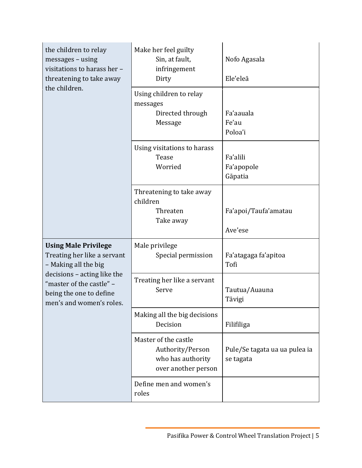| the children to relay<br>messages - using<br>visitations to harass her -<br>threatening to take away<br>the children.                                                                                | Make her feel guilty<br>Sin, at fault,<br>infringement<br>Dirty                      | Nofo Agasala<br>Ele'eleā                   |
|------------------------------------------------------------------------------------------------------------------------------------------------------------------------------------------------------|--------------------------------------------------------------------------------------|--------------------------------------------|
|                                                                                                                                                                                                      | Using children to relay<br>messages<br>Directed through<br>Message                   | Fa'aauala<br>Fe'au<br>Poloa'i              |
|                                                                                                                                                                                                      | Using visitations to harass<br>Tease<br>Worried                                      | Fa'alili<br>Fa'apopole<br>Gāpatia          |
|                                                                                                                                                                                                      | Threatening to take away<br>children<br>Threaten<br>Take away                        | Fa'apoi/Taufa'amatau<br>Ave'ese            |
| <b>Using Male Privilege</b><br>Treating her like a servant<br>- Making all the big<br>decisions - acting like the<br>"master of the castle" -<br>being the one to define<br>men's and women's roles. | Male privilege<br>Special permission                                                 | Fa'atagaga fa'apitoa<br>Tofi               |
|                                                                                                                                                                                                      | Treating her like a servant<br>Serve                                                 | Tautua/Auauna<br>Tāvigi                    |
|                                                                                                                                                                                                      | Making all the big decisions<br>Decision                                             | Filifiliga                                 |
|                                                                                                                                                                                                      | Master of the castle<br>Authority/Person<br>who has authority<br>over another person | Pule/Se tagata ua ua pulea ia<br>se tagata |
|                                                                                                                                                                                                      | Define men and women's<br>roles                                                      |                                            |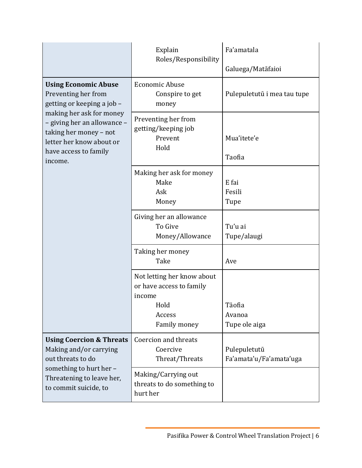|                                                                                                                                                                                                                                       | Explain<br>Roles/Responsibility                                                                    | Fa'amatala<br>Galuega/Matāfaioi         |
|---------------------------------------------------------------------------------------------------------------------------------------------------------------------------------------------------------------------------------------|----------------------------------------------------------------------------------------------------|-----------------------------------------|
| <b>Using Economic Abuse</b><br>Preventing her from<br>getting or keeping a job -<br>making her ask for money<br>- giving her an allowance -<br>taking her money - not<br>letter her know about or<br>have access to family<br>income. | <b>Economic Abuse</b><br>Conspire to get<br>money                                                  | Pulepuletutū i mea tau tupe             |
|                                                                                                                                                                                                                                       | Preventing her from<br>getting/keeping job<br>Prevent<br>Hold                                      | Mua'itete'e<br>Taofia                   |
|                                                                                                                                                                                                                                       | Making her ask for money<br>Make<br>Ask<br>Money                                                   | E fai<br>Fesili<br>Tupe                 |
|                                                                                                                                                                                                                                       | Giving her an allowance<br>To Give<br>Money/Allowance                                              | Tu'u ai<br>Tupe/alaugi                  |
|                                                                                                                                                                                                                                       | Taking her money<br>Take                                                                           | Ave                                     |
|                                                                                                                                                                                                                                       | Not letting her know about<br>or have access to family<br>income<br>Hold<br>Access<br>Family money | Tāofia<br>Avanoa<br>Tupe ole aiga       |
| <b>Using Coercion &amp; Threats</b><br>Making and/or carrying<br>out threats to do<br>something to hurt her -<br>Threatening to leave her,<br>to commit suicide, to                                                                   | Coercion and threats<br>Coercive<br>Threat/Threats                                                 | Pulepuletutū<br>Fa'amata'u/Fa'amata'uga |
|                                                                                                                                                                                                                                       | Making/Carrying out<br>threats to do something to<br>hurt her                                      |                                         |